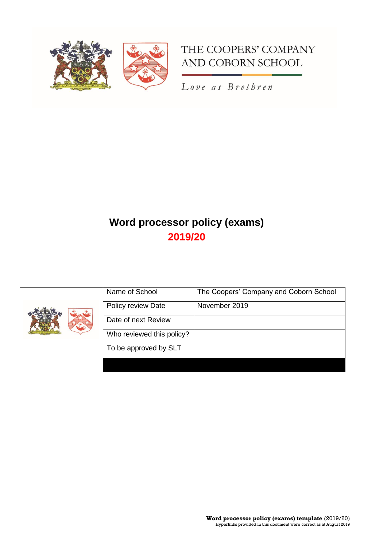



Love as Brethren

# **Word processor policy (exams) 2019/20**

|  | Name of School            | The Coopers' Company and Coborn School |
|--|---------------------------|----------------------------------------|
|  | Policy review Date        | November 2019                          |
|  | Date of next Review       |                                        |
|  | Who reviewed this policy? |                                        |
|  | To be approved by SLT     |                                        |
|  |                           |                                        |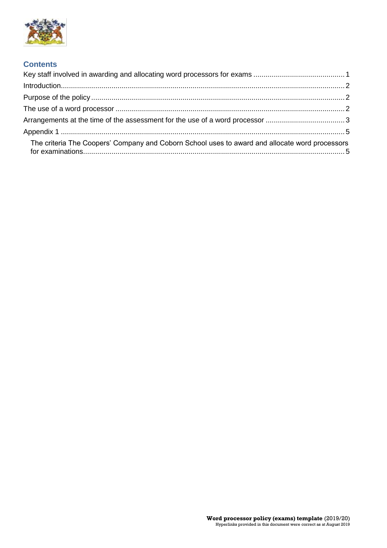

## **Contents**

| The criteria The Coopers' Company and Coborn School uses to award and allocate word processors |  |
|------------------------------------------------------------------------------------------------|--|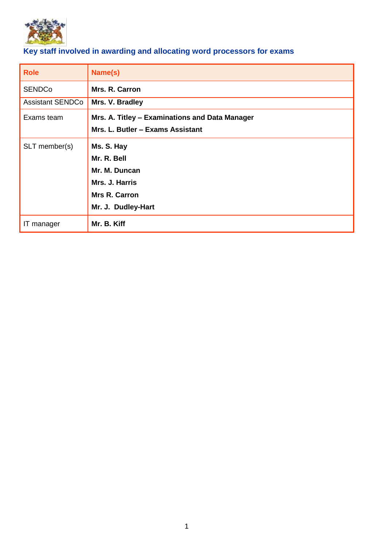

## <span id="page-2-0"></span>**Key staff involved in awarding and allocating word processors for exams**

| <b>Role</b>             | Name(s)                                                                                             |
|-------------------------|-----------------------------------------------------------------------------------------------------|
| <b>SENDCo</b>           | Mrs. R. Carron                                                                                      |
| <b>Assistant SENDCo</b> | Mrs. V. Bradley                                                                                     |
| Exams team              | Mrs. A. Titley - Examinations and Data Manager<br>Mrs. L. Butler - Exams Assistant                  |
| SLT member(s)           | Ms. S. Hay<br>Mr. R. Bell<br>Mr. M. Duncan<br>Mrs. J. Harris<br>Mrs R. Carron<br>Mr. J. Dudley-Hart |
| IT manager              | Mr. B. Kiff                                                                                         |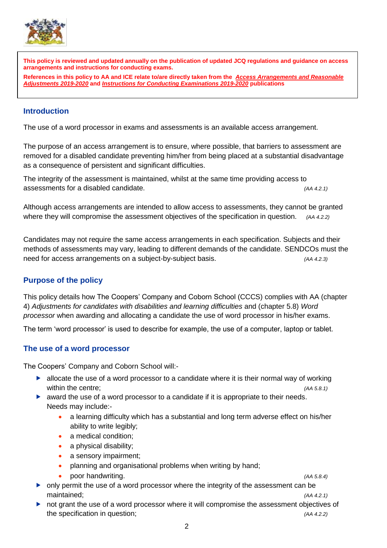

 $\overline{a}$ 

**This policy is reviewed and updated annually on the publication of updated JCQ regulations and guidance on access arrangements and instructions for conducting exams. References in this policy to AA and ICE relate to/are directly taken from the** *[Access Arrangements and Reasonable](http://www.jcq.org.uk/exams-office/access-arrangements-and-special-consideration/regulations-and-guidance)  [Adjustments 2019-2020](http://www.jcq.org.uk/exams-office/access-arrangements-and-special-consideration/regulations-and-guidance)* **and** *[Instructions for Conducting Examinations 2019-2020](http://www.jcq.org.uk/exams-office/ice---instructions-for-conducting-examinations)* **publications**

#### <span id="page-3-0"></span>**Introduction**

The use of a word processor in exams and assessments is an available access arrangement.

The purpose of an access arrangement is to ensure, where possible, that barriers to assessment are removed for a disabled candidate preventing him/her from being placed at a substantial disadvantage as a consequence of persistent and significant difficulties.

The integrity of the assessment is maintained, whilst at the same time providing access to assessments for a disabled candidate. *(AA 4.2.1)*

Although access arrangements are intended to allow access to assessments, they cannot be granted where they will compromise the assessment objectives of the specification in question. *(AA 4.2.2)*

Candidates may not require the same access arrangements in each specification. Subjects and their methods of assessments may vary, leading to different demands of the candidate. SENDCOs must the need for access arrangements on a subject-by-subject basis. *(AA 4.2.3)*

#### <span id="page-3-1"></span>**Purpose of the policy**

This policy details how The Coopers' Company and Coborn School (CCCS) complies with AA (chapter 4) *Adjustments for candidates with disabilities and learning difficulties* and (chapter 5.8) *Word processor* when awarding and allocating a candidate the use of word processor in his/her exams.

The term 'word processor' is used to describe for example, the use of a computer, laptop or tablet.

#### <span id="page-3-2"></span>**The use of a word processor**

The Coopers' Company and Coborn School will:-

- $\blacktriangleright$  allocate the use of a word processor to a candidate where it is their normal way of working within the centre; *(AA 5.8.1)*
- $\triangleright$  award the use of a word processor to a candidate if it is appropriate to their needs. Needs may include:
	- a learning difficulty which has a substantial and long term adverse effect on his/her ability to write legibly;
	- a medical condition;
	- a physical disability;
	- a sensory impairment;
	- planning and organisational problems when writing by hand;
	- poor handwriting. *(AA 5.8.4)*
- only permit the use of a word processor where the integrity of the assessment can be maintained; *(AA 4.2.1)*

not grant the use of a word processor where it will compromise the assessment objectives of the specification in question; *(AA 4.2.2)*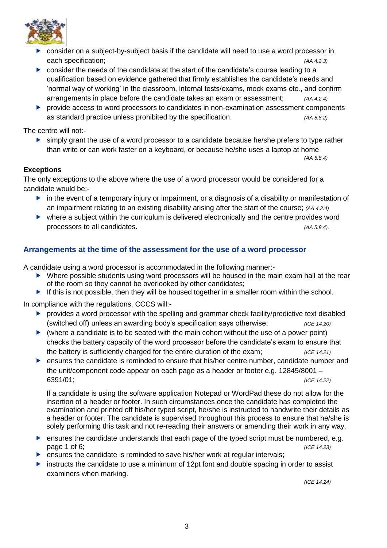

- consider on a subject-by-subject basis if the candidate will need to use a word processor in each specification; *(AA 4.2.3)*
- consider the needs of the candidate at the start of the candidate's course leading to a qualification based on evidence gathered that firmly establishes the candidate's needs and 'normal way of working' in the classroom, internal tests/exams, mock exams etc., and confirm arrangements in place before the candidate takes an exam or assessment; *(AA 4.2.4)*
- provide access to word processors to candidates in non-examination assessment components as standard practice unless prohibited by the specification. *(AA 5.8.2)* (AA 5.8.2)

The centre will not:-

 simply grant the use of a word processor to a candidate because he/she prefers to type rather than write or can work faster on a keyboard, or because he/she uses a laptop at home

#### **Exceptions**

The only exceptions to the above where the use of a word processor would be considered for a candidate would be:-

- $\blacktriangleright$  in the event of a temporary injury or impairment, or a diagnosis of a disability or manifestation of an impairment relating to an existing disability arising after the start of the course; *(AA 4.2.4)*
- where a subject within the curriculum is delivered electronically and the centre provides word processors to all candidates. *(AA 5.8.4).*

### <span id="page-4-0"></span>**Arrangements at the time of the assessment for the use of a word processor**

A candidate using a word processor is accommodated in the following manner:-

- Where possible students using word processors will be housed in the main exam hall at the rear of the room so they cannot be overlooked by other candidates;
- If this is not possible, then they will be housed together in a smaller room within the school.

In compliance with the regulations, CCCS will:-

- **P** provides a word processor with the spelling and grammar check facility/predictive text disabled (switched off) unless an awarding body's specification says otherwise; *(ICE 14.20)*
- $\triangleright$  (where a candidate is to be seated with the main cohort without the use of a power point) checks the battery capacity of the word processor before the candidate's exam to ensure that the battery is sufficiently charged for the entire duration of the exam; *(ICE 14.21)*
- ensures the candidate is reminded to ensure that his/her centre number, candidate number and the unit/component code appear on each page as a header or footer e.g. 12845/8001 – 6391/01; *(ICE 14.22)*

If a candidate is using the software application Notepad or WordPad these do not allow for the insertion of a header or footer. In such circumstances once the candidate has completed the examination and printed off his/her typed script, he/she is instructed to handwrite their details as a header or footer. The candidate is supervised throughout this process to ensure that he/she is solely performing this task and not re-reading their answers or amending their work in any way.

- **EX** ensures the candidate understands that each page of the typed script must be numbered, e.g. page 1 of 6; *(ICE 14.23) (ICE 14.23) (ICE 14.23) (ICE 14.23)*
- $\blacktriangleright$  ensures the candidate is reminded to save his/her work at regular intervals;
- instructs the candidate to use a minimum of 12pt font and double spacing in order to assist examiners when marking.

*(ICE 14.24)*

*(AA 5.8.4)*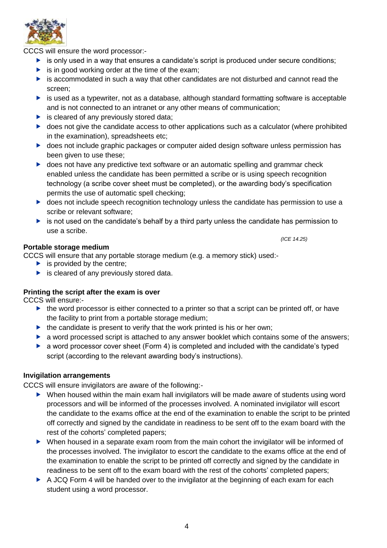

CCCS will ensure the word processor:-

- is only used in a way that ensures a candidate's script is produced under secure conditions;
- $\triangleright$  is in good working order at the time of the exam;
- $\triangleright$  is accommodated in such a way that other candidates are not disturbed and cannot read the screen;
- $\triangleright$  is used as a typewriter, not as a database, although standard formatting software is acceptable and is not connected to an intranet or any other means of communication;
- $\blacktriangleright$  is cleared of any previously stored data;
- ▶ does not give the candidate access to other applications such as a calculator (where prohibited in the examination), spreadsheets etc;
- ▶ does not include graphic packages or computer aided design software unless permission has been given to use these:
- **b** does not have any predictive text software or an automatic spelling and grammar check enabled unless the candidate has been permitted a scribe or is using speech recognition technology (a scribe cover sheet must be completed), or the awarding body's specification permits the use of automatic spell checking;
- ▶ does not include speech recognition technology unless the candidate has permission to use a scribe or relevant software;
- is not used on the candidate's behalf by a third party unless the candidate has permission to use a scribe.

*(ICE 14.25)*

#### **Portable storage medium**

CCCS will ensure that any portable storage medium (e.g. a memory stick) used:-

- $\blacktriangleright$  is provided by the centre;
- $\blacktriangleright$  is cleared of any previously stored data.

#### **Printing the script after the exam is over**

CCCS will ensure:-

- $\blacktriangleright$  the word processor is either connected to a printer so that a script can be printed off, or have the facility to print from a portable storage medium;
- $\blacktriangleright$  the candidate is present to verify that the work printed is his or her own;
- **a** word processed script is attached to any answer booklet which contains some of the answers;
- $\triangleright$  a word processor cover sheet (Form 4) is completed and included with the candidate's typed script (according to the relevant awarding body's instructions).

#### **Invigilation arrangements**

CCCS will ensure invigilators are aware of the following:-

- ▶ When housed within the main exam hall invigilators will be made aware of students using word processors and will be informed of the processes involved. A nominated invigilator will escort the candidate to the exams office at the end of the examination to enable the script to be printed off correctly and signed by the candidate in readiness to be sent off to the exam board with the rest of the cohorts' completed papers;
- When housed in a separate exam room from the main cohort the invigilator will be informed of the processes involved. The invigilator to escort the candidate to the exams office at the end of the examination to enable the script to be printed off correctly and signed by the candidate in readiness to be sent off to the exam board with the rest of the cohorts' completed papers;
- $\blacktriangleright$  A JCQ Form 4 will be handed over to the invigilator at the beginning of each exam for each student using a word processor.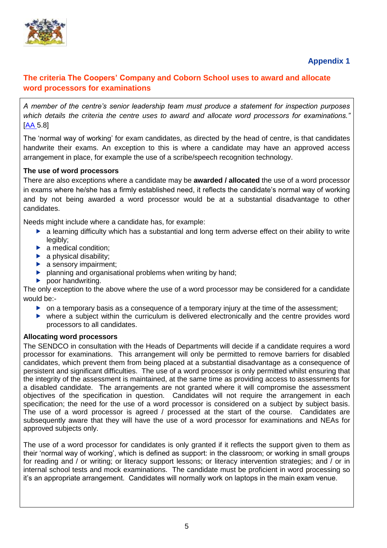

## **Appendix 1**

## <span id="page-6-1"></span><span id="page-6-0"></span>**The criteria The Coopers' Company and Coborn School uses to award and allocate word processors for examinations**

*A member of the centre's senior leadership team must produce a statement for inspection purposes which details the criteria the centre uses to award and allocate word processors for examinations."*  [\[AA](http://www.jcq.org.uk/exams-office/access-arrangements-and-special-consideration) 5.8]

The 'normal way of working' for exam candidates, as directed by the head of centre, is that candidates handwrite their exams. An exception to this is where a candidate may have an approved access arrangement in place, for example the use of a scribe/speech recognition technology.

#### **The use of word processors**

There are also exceptions where a candidate may be **awarded / allocated** the use of a word processor in exams where he/she has a firmly established need, it reflects the candidate's normal way of working and by not being awarded a word processor would be at a substantial disadvantage to other candidates.

Needs might include where a candidate has, for example:

- **a** learning difficulty which has a substantial and long term adverse effect on their ability to write legibly:
- $\blacktriangleright$  a medical condition:
- $\blacktriangleright$  a physical disability;
- $\blacktriangleright$  a sensory impairment;
- **P** planning and organisational problems when writing by hand;
- $\blacktriangleright$  poor handwriting.

The only exception to the above where the use of a word processor may be considered for a candidate would be:-

- $\triangleright$  on a temporary basis as a consequence of a temporary injury at the time of the assessment;
- where a subject within the curriculum is delivered electronically and the centre provides word processors to all candidates.

#### **Allocating word processors**

The SENDCO in consultation with the Heads of Departments will decide if a candidate requires a word processor for examinations. This arrangement will only be permitted to remove barriers for disabled candidates, which prevent them from being placed at a substantial disadvantage as a consequence of persistent and significant difficulties. The use of a word processor is only permitted whilst ensuring that the integrity of the assessment is maintained, at the same time as providing access to assessments for a disabled candidate. The arrangements are not granted where it will compromise the assessment objectives of the specification in question. Candidates will not require the arrangement in each specification; the need for the use of a word processor is considered on a subject by subject basis. The use of a word processor is agreed / processed at the start of the course. Candidates are subsequently aware that they will have the use of a word processor for examinations and NEAs for approved subjects only.

The use of a word processor for candidates is only granted if it reflects the support given to them as their 'normal way of working', which is defined as support: in the classroom; or working in small groups for reading and / or writing; or literacy support lessons; or literacy intervention strategies; and / or in internal school tests and mock examinations. The candidate must be proficient in word processing so it's an appropriate arrangement. Candidates will normally work on laptops in the main exam venue.